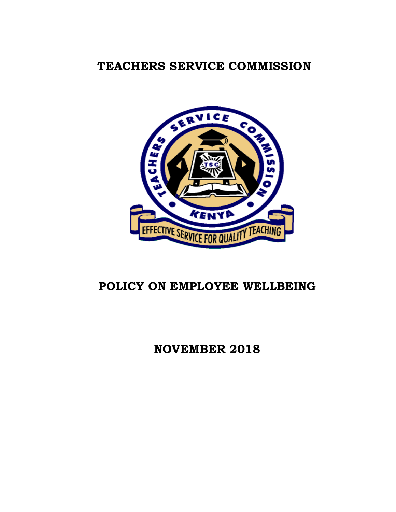# **TEACHERS SERVICE COMMISSION**



# **POLICY ON EMPLOYEE WELLBEING**

# **NOVEMBER 2018**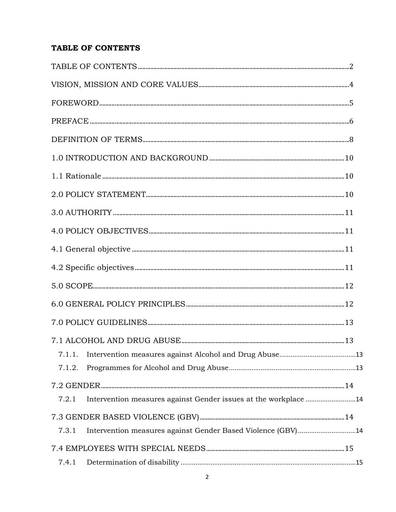# <span id="page-1-0"></span>TABLE OF CONTENTS

| 7.1.1.                                                                   |  |
|--------------------------------------------------------------------------|--|
| 7.1.2.                                                                   |  |
|                                                                          |  |
| Intervention measures against Gender issues at the workplace 14<br>7.2.1 |  |
|                                                                          |  |
| Intervention measures against Gender Based Violence (GBV)14<br>7.3.1     |  |
|                                                                          |  |
| 7.4.1                                                                    |  |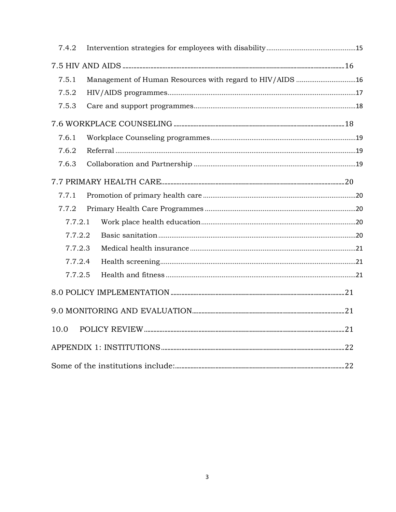| 7.4.2   |                                                          |  |
|---------|----------------------------------------------------------|--|
|         |                                                          |  |
| 7.5.1   | Management of Human Resources with regard to HIV/AIDS 16 |  |
| 7.5.2   |                                                          |  |
| 7.5.3   |                                                          |  |
|         |                                                          |  |
| 7.6.1   |                                                          |  |
| 7.6.2   |                                                          |  |
| 7.6.3   |                                                          |  |
|         |                                                          |  |
| 7.7.1   |                                                          |  |
| 7.7.2   |                                                          |  |
| 7.7.2.1 |                                                          |  |
| 7.7.2.2 |                                                          |  |
| 7.7.2.3 |                                                          |  |
| 7.7.2.4 |                                                          |  |
| 7.7.2.5 |                                                          |  |
|         |                                                          |  |
|         |                                                          |  |
| 10.0    |                                                          |  |
|         |                                                          |  |
|         |                                                          |  |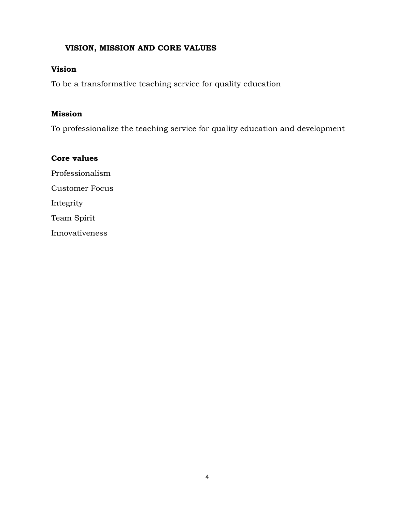## <span id="page-3-0"></span>**VISION, MISSION AND CORE VALUES**

#### **Vision**

To be a transformative teaching service for quality education

#### **Mission**

To professionalize the teaching service for quality education and development

**Core values** Professionalism Customer Focus Integrity Team Spirit Innovativeness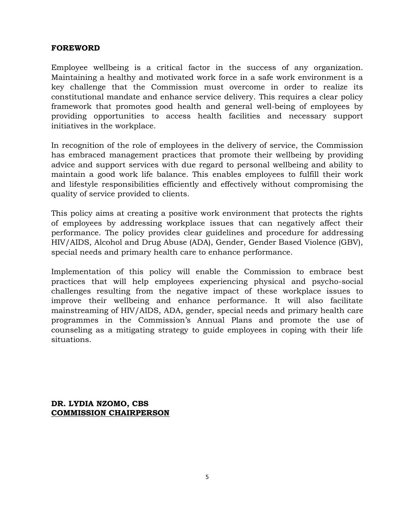#### <span id="page-4-0"></span>**FOREWORD**

Employee wellbeing is a critical factor in the success of any organization. Maintaining a healthy and motivated work force in a safe work environment is a key challenge that the Commission must overcome in order to realize its constitutional mandate and enhance service delivery. This requires a clear policy framework that promotes good health and general well-being of employees by providing opportunities to access health facilities and necessary support initiatives in the workplace.

In recognition of the role of employees in the delivery of service, the Commission has embraced management practices that promote their wellbeing by providing advice and support services with due regard to personal wellbeing and ability to maintain a good work life balance. This enables employees to fulfill their work and lifestyle responsibilities efficiently and effectively without compromising the quality of service provided to clients.

This policy aims at creating a positive work environment that protects the rights of employees by addressing workplace issues that can negatively affect their performance. The policy provides clear guidelines and procedure for addressing HIV/AIDS, Alcohol and Drug Abuse (ADA), Gender, Gender Based Violence (GBV), special needs and primary health care to enhance performance.

Implementation of this policy will enable the Commission to embrace best practices that will help employees experiencing physical and psycho-social challenges resulting from the negative impact of these workplace issues to improve their wellbeing and enhance performance. It will also facilitate mainstreaming of HIV/AIDS, ADA, gender, special needs and primary health care programmes in the Commission's Annual Plans and promote the use of counseling as a mitigating strategy to guide employees in coping with their life situations.

**DR. LYDIA NZOMO, CBS COMMISSION CHAIRPERSON**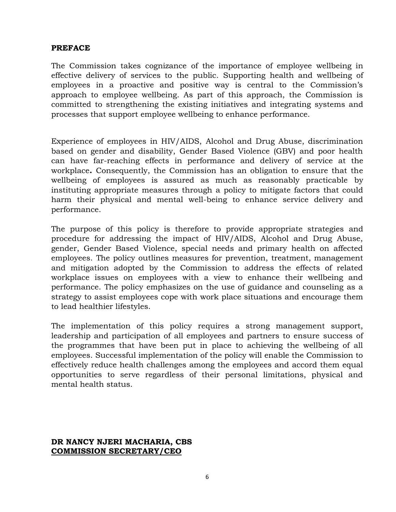#### <span id="page-5-0"></span>**PREFACE**

The Commission takes cognizance of the importance of employee wellbeing in effective delivery of services to the public. Supporting health and wellbeing of employees in a proactive and positive way is central to the Commission's approach to employee wellbeing. As part of this approach, the Commission is committed to strengthening the existing initiatives and integrating systems and processes that support employee wellbeing to enhance performance.

Experience of employees in HIV/AIDS, Alcohol and Drug Abuse, discrimination based on gender and disability, Gender Based Violence (GBV) and poor health can have far-reaching effects in performance and delivery of service at the workplace**.** Consequently, the Commission has an obligation to ensure that the wellbeing of employees is assured as much as reasonably practicable by instituting appropriate measures through a policy to mitigate factors that could harm their physical and mental well-being to enhance service delivery and performance.

The purpose of this policy is therefore to provide appropriate strategies and procedure for addressing the impact of HIV/AIDS, Alcohol and Drug Abuse, gender, Gender Based Violence, special needs and primary health on affected employees. The policy outlines measures for prevention, treatment, management and mitigation adopted by the Commission to address the effects of related workplace issues on employees with a view to enhance their wellbeing and performance. The policy emphasizes on the use of guidance and counseling as a strategy to assist employees cope with work place situations and encourage them to lead healthier lifestyles.

The implementation of this policy requires a strong management support, leadership and participation of all employees and partners to ensure success of the programmes that have been put in place to achieving the wellbeing of all employees. Successful implementation of the policy will enable the Commission to effectively reduce health challenges among the employees and accord them equal opportunities to serve regardless of their personal limitations, physical and mental health status.

#### **DR NANCY NJERI MACHARIA, CBS COMMISSION SECRETARY/CEO**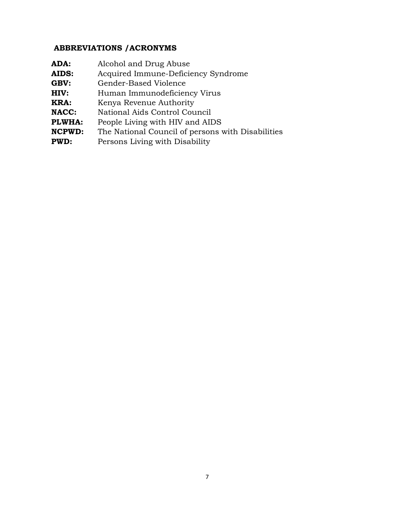# **ABBREVIATIONS /ACRONYMS**

| ADA:          | Alcohol and Drug Abuse                            |
|---------------|---------------------------------------------------|
| <b>AIDS:</b>  | Acquired Immune-Deficiency Syndrome               |
| GBV:          | Gender-Based Violence                             |
| HIV:          | Human Immunodeficiency Virus                      |
| KRA:          | Kenya Revenue Authority                           |
| <b>NACC:</b>  | National Aids Control Council                     |
| PLWHA:        | People Living with HIV and AIDS                   |
| <b>NCPWD:</b> | The National Council of persons with Disabilities |
| <b>PWD:</b>   | Persons Living with Disability                    |
|               |                                                   |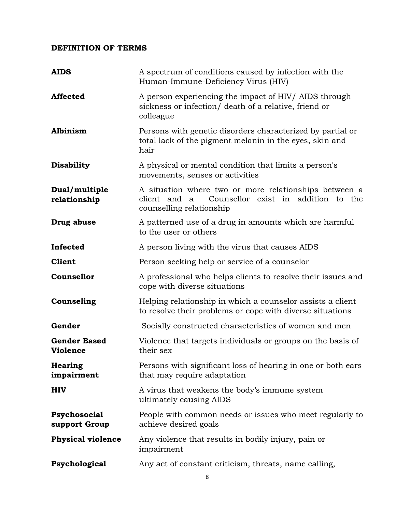## <span id="page-7-0"></span>**DEFINITION OF TERMS**

| <b>AIDS</b>                            | A spectrum of conditions caused by infection with the<br>Human-Immune-Deficiency Virus (HIV)                                                |
|----------------------------------------|---------------------------------------------------------------------------------------------------------------------------------------------|
| <b>Affected</b>                        | A person experiencing the impact of HIV/ AIDS through<br>sickness or infection/ death of a relative, friend or<br>colleague                 |
| Albinism                               | Persons with genetic disorders characterized by partial or<br>total lack of the pigment melanin in the eyes, skin and<br>hair               |
| <b>Disability</b>                      | A physical or mental condition that limits a person's<br>movements, senses or activities                                                    |
| Dual/multiple<br>relationship          | A situation where two or more relationships between a<br>client and<br>Counsellor exist in addition to the<br>a<br>counselling relationship |
| Drug abuse                             | A patterned use of a drug in amounts which are harmful<br>to the user or others                                                             |
| Infected                               | A person living with the virus that causes AIDS                                                                                             |
| <b>Client</b>                          | Person seeking help or service of a counselor                                                                                               |
| <b>Counsellor</b>                      | A professional who helps clients to resolve their issues and<br>cope with diverse situations                                                |
| Counseling                             | Helping relationship in which a counselor assists a client<br>to resolve their problems or cope with diverse situations                     |
| Gender                                 | Socially constructed characteristics of women and men                                                                                       |
| <b>Gender Based</b><br><b>Violence</b> | Violence that targets individuals or groups on the basis of<br>their sex                                                                    |
| <b>Hearing</b><br>impairment           | Persons with significant loss of hearing in one or both ears<br>that may require adaptation                                                 |
| <b>HIV</b>                             | A virus that weakens the body's immune system<br>ultimately causing AIDS                                                                    |
| Psychosocial<br>support Group          | People with common needs or issues who meet regularly to<br>achieve desired goals                                                           |
| <b>Physical violence</b>               | Any violence that results in bodily injury, pain or<br>impairment                                                                           |
| Psychological                          | Any act of constant criticism, threats, name calling,                                                                                       |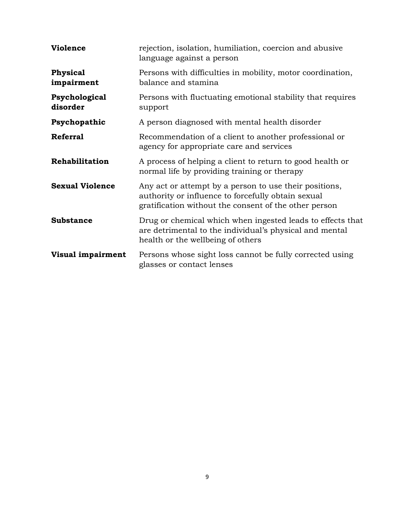| <b>Violence</b>               | rejection, isolation, humiliation, coercion and abusive<br>language against a person                                                                                  |
|-------------------------------|-----------------------------------------------------------------------------------------------------------------------------------------------------------------------|
| <b>Physical</b><br>impairment | Persons with difficulties in mobility, motor coordination,<br>balance and stamina                                                                                     |
| Psychological<br>disorder     | Persons with fluctuating emotional stability that requires<br>support                                                                                                 |
| Psychopathic                  | A person diagnosed with mental health disorder                                                                                                                        |
| <b>Referral</b>               | Recommendation of a client to another professional or<br>agency for appropriate care and services                                                                     |
| Rehabilitation                | A process of helping a client to return to good health or<br>normal life by providing training or therapy                                                             |
| <b>Sexual Violence</b>        | Any act or attempt by a person to use their positions,<br>authority or influence to forcefully obtain sexual<br>gratification without the consent of the other person |
| <b>Substance</b>              | Drug or chemical which when ingested leads to effects that<br>are detrimental to the individual's physical and mental<br>health or the wellbeing of others            |
| Visual impairment             | Persons whose sight loss cannot be fully corrected using<br>glasses or contact lenses                                                                                 |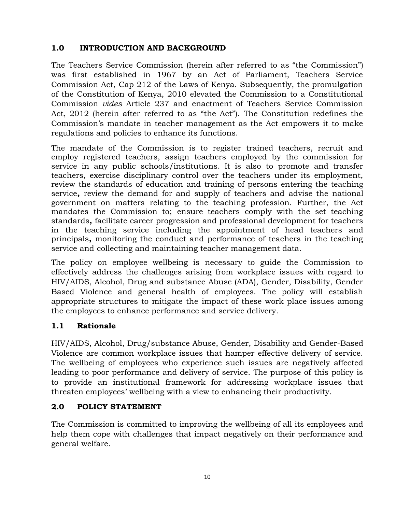# <span id="page-9-0"></span>**1.0 INTRODUCTION AND BACKGROUND**

The Teachers Service Commission (herein after referred to as "the Commission") was first established in 1967 by an Act of Parliament, Teachers Service Commission Act, Cap 212 of the Laws of Kenya. Subsequently, the promulgation of the Constitution of Kenya, 2010 elevated the Commission to a Constitutional Commission *vides* Article 237 and enactment of Teachers Service Commission Act, 2012 (herein after referred to as "the Act"). The Constitution redefines the Commission's mandate in teacher management as the Act empowers it to make regulations and policies to enhance its functions.

The mandate of the Commission is to register trained teachers, recruit and employ registered teachers, assign teachers employed by the commission for service in any public schools/institutions. It is also to promote and transfer teachers, exercise disciplinary control over the teachers under its employment, review the standards of education and training of persons entering the teaching service**,** review the demand for and supply of teachers and advise the national government on matters relating to the teaching profession. Further, the Act mandates the Commission to; ensure teachers comply with the set teaching standards**,** facilitate career progression and professional development for teachers in the teaching service including the appointment of head teachers and principals**,** monitoring the conduct and performance of teachers in the teaching service and collecting and maintaining teacher management data.

The policy on employee wellbeing is necessary to guide the Commission to effectively address the challenges arising from workplace issues with regard to HIV/AIDS, Alcohol, Drug and substance Abuse (ADA), Gender, Disability, Gender Based Violence and general health of employees. The policy will establish appropriate structures to mitigate the impact of these work place issues among the employees to enhance performance and service delivery.

# <span id="page-9-1"></span>**1.1 Rationale**

HIV/AIDS, Alcohol, Drug/substance Abuse, Gender, Disability and Gender-Based Violence are common workplace issues that hamper effective delivery of service. The wellbeing of employees who experience such issues are negatively affected leading to poor performance and delivery of service. The purpose of this policy is to provide an institutional framework for addressing workplace issues that threaten employees' wellbeing with a view to enhancing their productivity.

## <span id="page-9-2"></span>**2.0 POLICY STATEMENT**

The Commission is committed to improving the wellbeing of all its employees and help them cope with challenges that impact negatively on their performance and general welfare.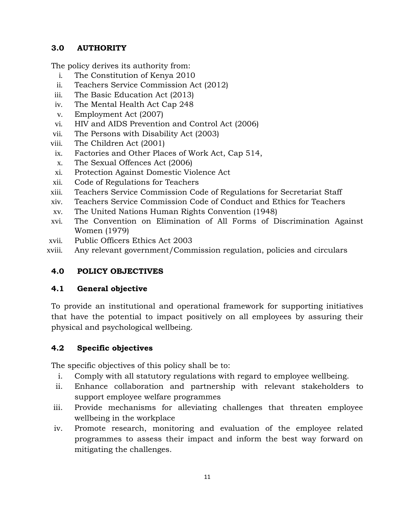# <span id="page-10-0"></span>**3.0 AUTHORITY**

The policy derives its authority from:

- i. The Constitution of Kenya 2010
- ii. Teachers Service Commission Act (2012)
- iii. The Basic Education Act (2013)
- iv. The Mental Health Act Cap 248
- v. Employment Act (2007)
- vi. HIV and AIDS Prevention and Control Act (2006)
- vii. The Persons with Disability Act (2003)
- viii. The Children Act (2001)
- ix. Factories and Other Places of Work Act, Cap 514,
- x. The Sexual Offences Act (2006)
- xi. Protection Against Domestic Violence Act
- xii. Code of Regulations for Teachers
- xiii. Teachers Service Commission Code of Regulations for Secretariat Staff
- xiv. Teachers Service Commission Code of Conduct and Ethics for Teachers
- xv. The United Nations Human Rights Convention (1948)
- xvi. The Convention on Elimination of All Forms of Discrimination Against Women (1979)
- xvii. Public Officers Ethics Act 2003
- xviii. Any relevant government/Commission regulation, policies and circulars

# <span id="page-10-1"></span>**4.0 POLICY OBJECTIVES**

## <span id="page-10-2"></span>**4.1 General objective**

To provide an institutional and operational framework for supporting initiatives that have the potential to impact positively on all employees by assuring their physical and psychological wellbeing.

# <span id="page-10-3"></span>**4.2 Specific objectives**

The specific objectives of this policy shall be to:

- i. Comply with all statutory regulations with regard to employee wellbeing.
- ii. Enhance collaboration and partnership with relevant stakeholders to support employee welfare programmes
- iii. Provide mechanisms for alleviating challenges that threaten employee wellbeing in the workplace
- iv. Promote research, monitoring and evaluation of the employee related programmes to assess their impact and inform the best way forward on mitigating the challenges.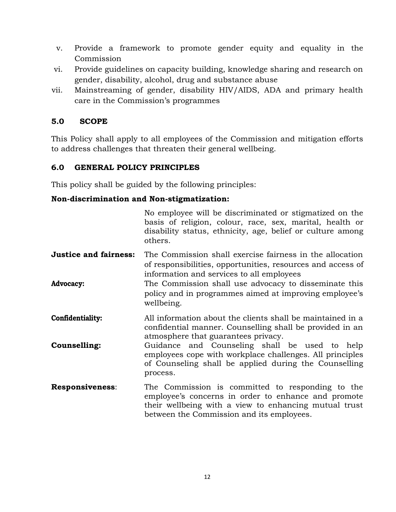- v. Provide a framework to promote gender equity and equality in the Commission
- vi. Provide guidelines on capacity building, knowledge sharing and research on gender, disability, alcohol, drug and substance abuse
- vii. Mainstreaming of gender, disability HIV/AIDS, ADA and primary health care in the Commission's programmes

## <span id="page-11-0"></span>**5.0 SCOPE**

This Policy shall apply to all employees of the Commission and mitigation efforts to address challenges that threaten their general wellbeing.

## <span id="page-11-1"></span>**6.0 GENERAL POLICY PRINCIPLES**

This policy shall be guided by the following principles:

#### **Non-discrimination and Non-stigmatization:**

|                              | No employee will be discriminated or stigmatized on the<br>basis of religion, colour, race, sex, marital, health or<br>disability status, ethnicity, age, belief or culture among<br>others.                  |  |
|------------------------------|---------------------------------------------------------------------------------------------------------------------------------------------------------------------------------------------------------------|--|
| <b>Justice and fairness:</b> | The Commission shall exercise fairness in the allocation<br>of responsibilities, opportunities, resources and access of<br>information and services to all employees                                          |  |
| Advocacy:                    | The Commission shall use advocacy to disseminate this<br>policy and in programmes aimed at improving employee's<br>wellbeing.                                                                                 |  |
| Confidentiality:             | All information about the clients shall be maintained in a<br>confidential manner. Counselling shall be provided in an<br>atmosphere that guarantees privacy.                                                 |  |
| Counselling:                 | Guidance and Counseling shall be used to help<br>employees cope with workplace challenges. All principles<br>of Counseling shall be applied during the Counselling<br>process.                                |  |
| <b>Responsiveness:</b>       | The Commission is committed to responding to the<br>employee's concerns in order to enhance and promote<br>their wellbeing with a view to enhancing mutual trust<br>between the Commission and its employees. |  |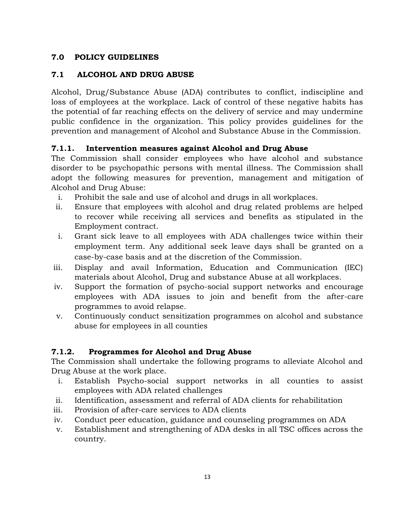# <span id="page-12-0"></span>**7.0 POLICY GUIDELINES**

## <span id="page-12-1"></span>**7.1 ALCOHOL AND DRUG ABUSE**

Alcohol, Drug/Substance Abuse (ADA) contributes to conflict, indiscipline and loss of employees at the workplace. Lack of control of these negative habits has the potential of far reaching effects on the delivery of service and may undermine public confidence in the organization. This policy provides guidelines for the prevention and management of Alcohol and Substance Abuse in the Commission.

## <span id="page-12-2"></span>**7.1.1. Intervention measures against Alcohol and Drug Abuse**

The Commission shall consider employees who have alcohol and substance disorder to be psychopathic persons with mental illness. The Commission shall adopt the following measures for prevention, management and mitigation of Alcohol and Drug Abuse:

- i. Prohibit the sale and use of alcohol and drugs in all workplaces.
- ii. Ensure that employees with alcohol and drug related problems are helped to recover while receiving all services and benefits as stipulated in the Employment contract.
- i. Grant sick leave to all employees with ADA challenges twice within their employment term. Any additional seek leave days shall be granted on a case-by-case basis and at the discretion of the Commission.
- iii. Display and avail Information, Education and Communication (IEC) materials about Alcohol, Drug and substance Abuse at all workplaces.
- iv. Support the formation of psycho-social support networks and encourage employees with ADA issues to join and benefit from the after-care programmes to avoid relapse.
- v. Continuously conduct sensitization programmes on alcohol and substance abuse for employees in all counties

# <span id="page-12-3"></span>**7.1.2. Programmes for Alcohol and Drug Abuse**

The Commission shall undertake the following programs to alleviate Alcohol and Drug Abuse at the work place.

- i. Establish Psycho-social support networks in all counties to assist employees with ADA related challenges
- ii. Identification, assessment and referral of ADA clients for rehabilitation
- iii. Provision of after-care services to ADA clients
- iv. Conduct peer education, guidance and counseling programmes on ADA
- v. Establishment and strengthening of ADA desks in all TSC offices across the country.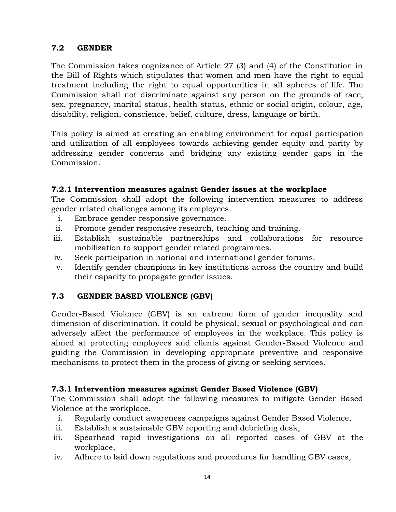## <span id="page-13-0"></span>**7.2 GENDER**

The Commission takes cognizance of Article 27 (3) and (4) of the Constitution in the Bill of Rights which stipulates that women and men have the right to equal treatment including the right to equal opportunities in all spheres of life. The Commission shall not discriminate against any person on the grounds of race, sex, pregnancy, marital status, health status, ethnic or social origin, colour, age, disability, religion, conscience, belief, culture, dress, language or birth.

This policy is aimed at creating an enabling environment for equal participation and utilization of all employees towards achieving gender equity and parity by addressing gender concerns and bridging any existing gender gaps in the Commission.

#### <span id="page-13-1"></span>**7.2.1 Intervention measures against Gender issues at the workplace**

The Commission shall adopt the following intervention measures to address gender related challenges among its employees.

- i. Embrace gender responsive governance.
- ii. Promote gender responsive research, teaching and training.
- iii. Establish sustainable partnerships and collaborations for resource mobilization to support gender related programmes.
- iv. Seek participation in national and international gender forums.
- v. Identify gender champions in key institutions across the country and build their capacity to propagate gender issues.

## <span id="page-13-2"></span>**7.3 GENDER BASED VIOLENCE (GBV)**

Gender-Based Violence (GBV) is an extreme form of gender inequality and dimension of discrimination. It could be physical, sexual or psychological and can adversely affect the performance of employees in the workplace. This policy is aimed at protecting employees and clients against Gender-Based Violence and guiding the Commission in developing appropriate preventive and responsive mechanisms to protect them in the process of giving or seeking services.

## <span id="page-13-3"></span>**7.3.1 Intervention measures against Gender Based Violence (GBV)**

The Commission shall adopt the following measures to mitigate Gender Based Violence at the workplace.

- i. Regularly conduct awareness campaigns against Gender Based Violence,
- ii. Establish a sustainable GBV reporting and debriefing desk,
- iii. Spearhead rapid investigations on all reported cases of GBV at the workplace,
- iv. Adhere to laid down regulations and procedures for handling GBV cases,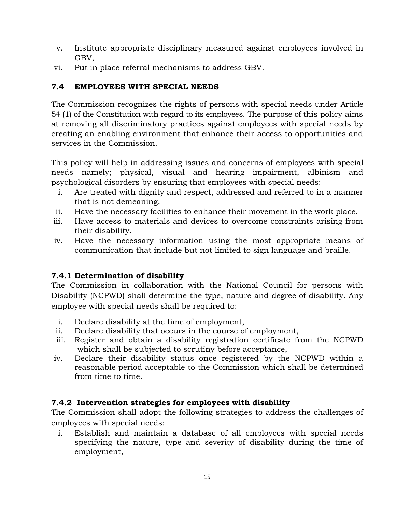- v. Institute appropriate disciplinary measured against employees involved in GBV,
- vi. Put in place referral mechanisms to address GBV.

# <span id="page-14-0"></span>**7.4 EMPLOYEES WITH SPECIAL NEEDS**

The Commission recognizes the rights of persons with special needs under Article 54 (1) of the Constitution with regard to its employees. The purpose of this policy aims at removing all discriminatory practices against employees with special needs by creating an enabling environment that enhance their access to opportunities and services in the Commission.

This policy will help in addressing issues and concerns of employees with special needs namely; physical, visual and hearing impairment, albinism and psychological disorders by ensuring that employees with special needs:

- i. Are treated with dignity and respect, addressed and referred to in a manner that is not demeaning,
- ii. Have the necessary facilities to enhance their movement in the work place.
- iii. Have access to materials and devices to overcome constraints arising from their disability.
- iv. Have the necessary information using the most appropriate means of communication that include but not limited to sign language and braille.

# <span id="page-14-1"></span>**7.4.1 Determination of disability**

The Commission in collaboration with the National Council for persons with Disability (NCPWD) shall determine the type, nature and degree of disability. Any employee with special needs shall be required to:

- i. Declare disability at the time of employment,
- ii. Declare disability that occurs in the course of employment,
- iii. Register and obtain a disability registration certificate from the NCPWD which shall be subjected to scrutiny before acceptance,
- iv. Declare their disability status once registered by the NCPWD within a reasonable period acceptable to the Commission which shall be determined from time to time.

# <span id="page-14-2"></span>**7.4.2 Intervention strategies for employees with disability**

The Commission shall adopt the following strategies to address the challenges of employees with special needs:

i. Establish and maintain a database of all employees with special needs specifying the nature, type and severity of disability during the time of employment,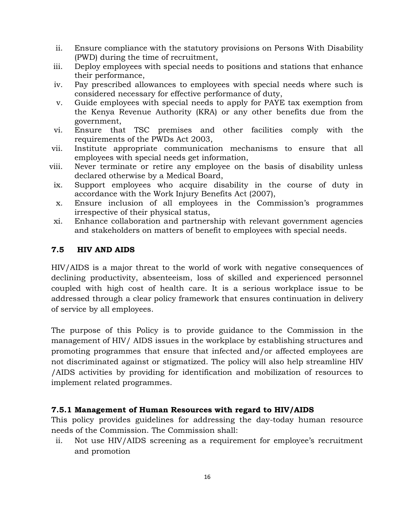- ii. Ensure compliance with the statutory provisions on Persons With Disability (PWD) during the time of recruitment,
- iii. Deploy employees with special needs to positions and stations that enhance their performance,
- iv. Pay prescribed allowances to employees with special needs where such is considered necessary for effective performance of duty,
- v. Guide employees with special needs to apply for PAYE tax exemption from the Kenya Revenue Authority (KRA) or any other benefits due from the government,
- vi. Ensure that TSC premises and other facilities comply with the requirements of the PWDs Act 2003,
- vii. Institute appropriate communication mechanisms to ensure that all employees with special needs get information,
- viii. Never terminate or retire any employee on the basis of disability unless declared otherwise by a Medical Board,
- ix. Support employees who acquire disability in the course of duty in accordance with the Work Injury Benefits Act (2007),
- x. Ensure inclusion of all employees in the Commission's programmes irrespective of their physical status,
- xi. Enhance collaboration and partnership with relevant government agencies and stakeholders on matters of benefit to employees with special needs.

## <span id="page-15-0"></span>**7.5 HIV AND AIDS**

HIV/AIDS is a major threat to the world of work with negative consequences of declining productivity, absenteeism, loss of skilled and experienced personnel coupled with high cost of health care. It is a serious workplace issue to be addressed through a clear policy framework that ensures continuation in delivery of service by all employees.

The purpose of this Policy is to provide guidance to the Commission in the management of HIV/ AIDS issues in the workplace by establishing structures and promoting programmes that ensure that infected and/or affected employees are not discriminated against or stigmatized. The policy will also help streamline HIV /AIDS activities by providing for identification and mobilization of resources to implement related programmes.

## <span id="page-15-1"></span>**7.5.1 Management of Human Resources with regard to HIV/AIDS**

This policy provides guidelines for addressing the day-today human resource needs of the Commission. The Commission shall:

ii. Not use HIV/AIDS screening as a requirement for employee's recruitment and promotion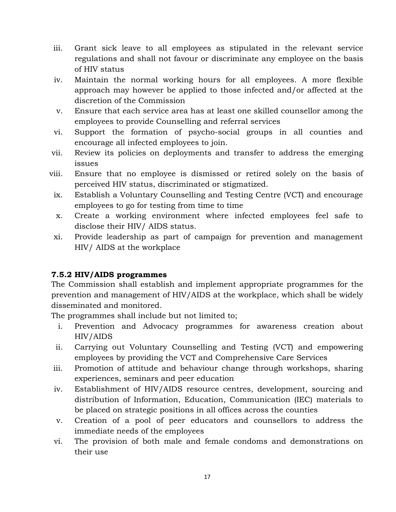- iii. Grant sick leave to all employees as stipulated in the relevant service regulations and shall not favour or discriminate any employee on the basis of HIV status
- iv. Maintain the normal working hours for all employees. A more flexible approach may however be applied to those infected and/or affected at the discretion of the Commission
- v. Ensure that each service area has at least one skilled counsellor among the employees to provide Counselling and referral services
- vi. Support the formation of psycho-social groups in all counties and encourage all infected employees to join.
- vii. Review its policies on deployments and transfer to address the emerging issues
- viii. Ensure that no employee is dismissed or retired solely on the basis of perceived HIV status, discriminated or stigmatized.
	- ix. Establish a Voluntary Counselling and Testing Centre (VCT) and encourage employees to go for testing from time to time
	- x. Create a working environment where infected employees feel safe to disclose their HIV/ AIDS status.
	- xi. Provide leadership as part of campaign for prevention and management HIV/ AIDS at the workplace

# <span id="page-16-0"></span>**7.5.2 HIV/AIDS programmes**

The Commission shall establish and implement appropriate programmes for the prevention and management of HIV/AIDS at the workplace, which shall be widely disseminated and monitored.

The programmes shall include but not limited to;

- i. Prevention and Advocacy programmes for awareness creation about HIV/AIDS
- ii. Carrying out Voluntary Counselling and Testing (VCT) and empowering employees by providing the VCT and Comprehensive Care Services
- iii. Promotion of attitude and behaviour change through workshops, sharing experiences, seminars and peer education
- iv. Establishment of HIV/AIDS resource centres, development, sourcing and distribution of Information, Education, Communication (IEC) materials to be placed on strategic positions in all offices across the counties
- v. Creation of a pool of peer educators and counsellors to address the immediate needs of the employees
- vi. The provision of both male and female condoms and demonstrations on their use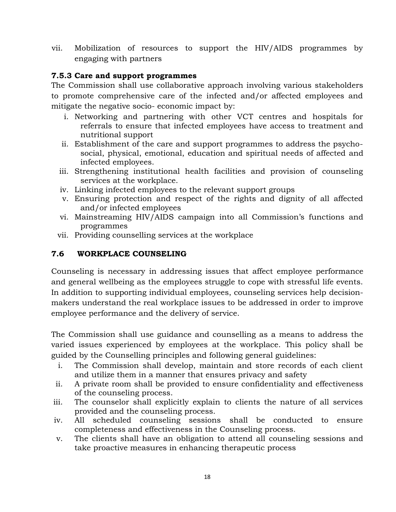vii. Mobilization of resources to support the HIV/AIDS programmes by engaging with partners

#### <span id="page-17-0"></span>**7.5.3 Care and support programmes**

The Commission shall use collaborative approach involving various stakeholders to promote comprehensive care of the infected and/or affected employees and mitigate the negative socio- economic impact by:

- i. Networking and partnering with other VCT centres and hospitals for referrals to ensure that infected employees have access to treatment and nutritional support
- ii. Establishment of the care and support programmes to address the psychosocial, physical, emotional, education and spiritual needs of affected and infected employees.
- iii. Strengthening institutional health facilities and provision of counseling services at the workplace.
- iv. Linking infected employees to the relevant support groups
- v. Ensuring protection and respect of the rights and dignity of all affected and/or infected employees
- vi. Mainstreaming HIV/AIDS campaign into all Commission's functions and programmes
- vii. Providing counselling services at the workplace

## <span id="page-17-1"></span>**7.6 WORKPLACE COUNSELING**

Counseling is necessary in addressing issues that affect employee performance and general wellbeing as the employees struggle to cope with stressful life events. In addition to supporting individual employees, counseling services help decisionmakers understand the real workplace issues to be addressed in order to improve employee performance and the delivery of service.

The Commission shall use guidance and counselling as a means to address the varied issues experienced by employees at the workplace. This policy shall be guided by the Counselling principles and following general guidelines:

- i. The Commission shall develop, maintain and store records of each client and utilize them in a manner that ensures privacy and safety
- ii. A private room shall be provided to ensure confidentiality and effectiveness of the counseling process.
- iii. The counselor shall explicitly explain to clients the nature of all services provided and the counseling process.
- iv. All scheduled counseling sessions shall be conducted to ensure completeness and effectiveness in the Counseling process.
- v. The clients shall have an obligation to attend all counseling sessions and take proactive measures in enhancing therapeutic process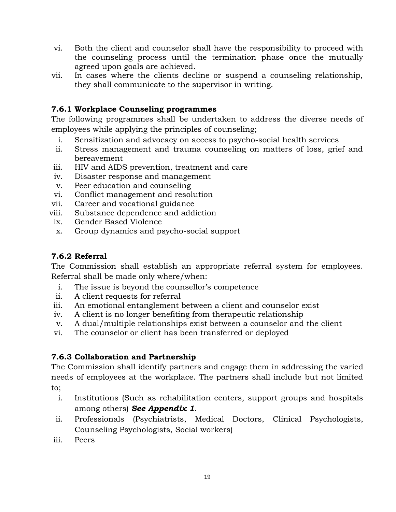- vi. Both the client and counselor shall have the responsibility to proceed with the counseling process until the termination phase once the mutually agreed upon goals are achieved.
- vii. In cases where the clients decline or suspend a counseling relationship, they shall communicate to the supervisor in writing.

## <span id="page-18-0"></span>**7.6.1 Workplace Counseling programmes**

The following programmes shall be undertaken to address the diverse needs of employees while applying the principles of counseling;

- i. Sensitization and advocacy on access to psycho-social health services
- ii. Stress management and trauma counseling on matters of loss, grief and bereavement
- iii. HIV and AIDS prevention, treatment and care
- iv. Disaster response and management
- v. Peer education and counseling
- vi. Conflict management and resolution
- vii. Career and vocational guidance
- viii. Substance dependence and addiction
- ix. Gender Based Violence
- x. Group dynamics and psycho-social support

## <span id="page-18-1"></span>**7.6.2 Referral**

The Commission shall establish an appropriate referral system for employees. Referral shall be made only where/when:

- i. The issue is beyond the counsellor's competence
- ii. A client requests for referral
- iii. An emotional entanglement between a client and counselor exist
- iv. A client is no longer benefiting from therapeutic relationship
- v. A dual/multiple relationships exist between a counselor and the client
- vi. The counselor or client has been transferred or deployed

## <span id="page-18-2"></span>**7.6.3 Collaboration and Partnership**

The Commission shall identify partners and engage them in addressing the varied needs of employees at the workplace. The partners shall include but not limited to;

- - i. Institutions (Such as rehabilitation centers, support groups and hospitals among others) *See Appendix 1*.
- ii. Professionals (Psychiatrists, Medical Doctors, Clinical Psychologists, Counseling Psychologists, Social workers)
- iii. Peers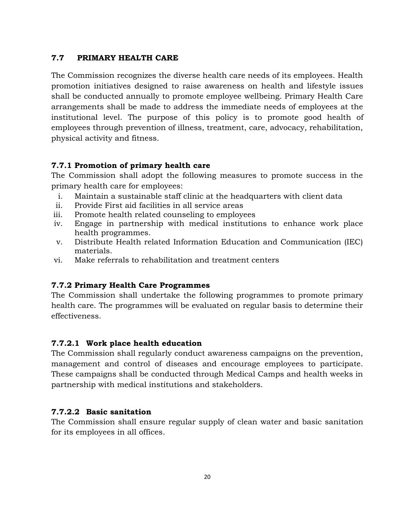## <span id="page-19-0"></span>**7.7 PRIMARY HEALTH CARE**

The Commission recognizes the diverse health care needs of its employees. Health promotion initiatives designed to raise awareness on health and lifestyle issues shall be conducted annually to promote employee wellbeing. Primary Health Care arrangements shall be made to address the immediate needs of employees at the institutional level. The purpose of this policy is to promote good health of employees through prevention of illness, treatment, care, advocacy, rehabilitation, physical activity and fitness.

## <span id="page-19-1"></span>**7.7.1 Promotion of primary health care**

The Commission shall adopt the following measures to promote success in the primary health care for employees:

- i. Maintain a sustainable staff clinic at the headquarters with client data
- ii. Provide First aid facilities in all service areas
- iii. Promote health related counseling to employees
- iv. Engage in partnership with medical institutions to enhance work place health programmes.
- v. Distribute Health related Information Education and Communication (IEC) materials.
- vi. Make referrals to rehabilitation and treatment centers

# <span id="page-19-2"></span>**7.7.2 Primary Health Care Programmes**

The Commission shall undertake the following programmes to promote primary health care. The programmes will be evaluated on regular basis to determine their effectiveness.

## <span id="page-19-3"></span>**7.7.2.1 Work place health education**

The Commission shall regularly conduct awareness campaigns on the prevention, management and control of diseases and encourage employees to participate. These campaigns shall be conducted through Medical Camps and health weeks in partnership with medical institutions and stakeholders.

# <span id="page-19-4"></span>**7.7.2.2 Basic sanitation**

The Commission shall ensure regular supply of clean water and basic sanitation for its employees in all offices.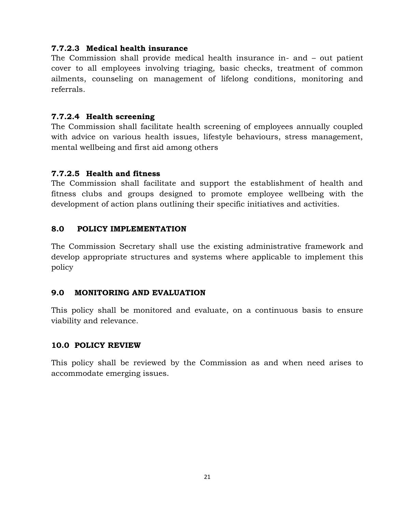#### <span id="page-20-0"></span>**7.7.2.3 Medical health insurance**

The Commission shall provide medical health insurance in- and – out patient cover to all employees involving triaging, basic checks, treatment of common ailments, counseling on management of lifelong conditions, monitoring and referrals.

#### <span id="page-20-1"></span>**7.7.2.4 Health screening**

The Commission shall facilitate health screening of employees annually coupled with advice on various health issues, lifestyle behaviours, stress management, mental wellbeing and first aid among others

#### <span id="page-20-2"></span>**7.7.2.5 Health and fitness**

The Commission shall facilitate and support the establishment of health and fitness clubs and groups designed to promote employee wellbeing with the development of action plans outlining their specific initiatives and activities.

#### <span id="page-20-3"></span>**8.0 POLICY IMPLEMENTATION**

The Commission Secretary shall use the existing administrative framework and develop appropriate structures and systems where applicable to implement this policy

#### <span id="page-20-4"></span>**9.0 MONITORING AND EVALUATION**

This policy shall be monitored and evaluate, on a continuous basis to ensure viability and relevance.

#### <span id="page-20-5"></span>**10.0 POLICY REVIEW**

This policy shall be reviewed by the Commission as and when need arises to accommodate emerging issues.